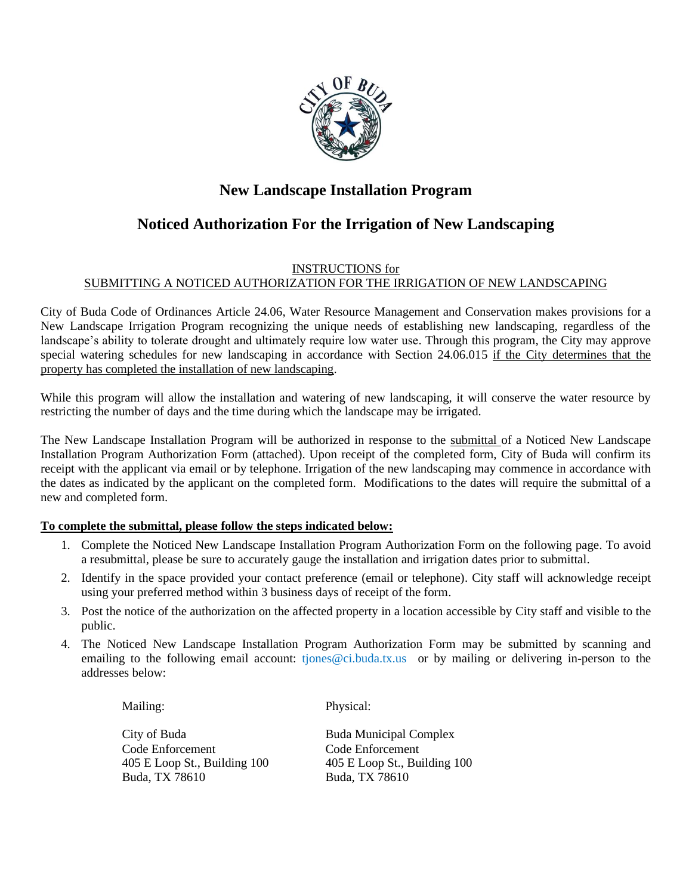

## **New Landscape Installation Program**

## **Noticed Authorization For the Irrigation of New Landscaping**

#### INSTRUCTIONS for SUBMITTING A NOTICED AUTHORIZATION FOR THE IRRIGATION OF NEW LANDSCAPING

City of Buda Code of Ordinances Article 24.06, Water Resource Management and Conservation makes provisions for a New Landscape Irrigation Program recognizing the unique needs of establishing new landscaping, regardless of the landscape's ability to tolerate drought and ultimately require low water use. Through this program, the City may approve special watering schedules for new landscaping in accordance with Section 24.06.015 if the City determines that the property has completed the installation of new landscaping.

While this program will allow the installation and watering of new landscaping, it will conserve the water resource by restricting the number of days and the time during which the landscape may be irrigated.

The New Landscape Installation Program will be authorized in response to the submittal of a Noticed New Landscape Installation Program Authorization Form (attached). Upon receipt of the completed form, City of Buda will confirm its receipt with the applicant via email or by telephone. Irrigation of the new landscaping may commence in accordance with the dates as indicated by the applicant on the completed form. Modifications to the dates will require the submittal of a new and completed form.

#### **To complete the submittal, please follow the steps indicated below:**

- 1. Complete the Noticed New Landscape Installation Program Authorization Form on the following page. To avoid a resubmittal, please be sure to accurately gauge the installation and irrigation dates prior to submittal.
- 2. Identify in the space provided your contact preference (email or telephone). City staff will acknowledge receipt using your preferred method within 3 business days of receipt of the form.
- 3. Post the notice of the authorization on the affected property in a location accessible by City staff and visible to the public.
- 4. The Noticed New Landscape Installation Program Authorization Form may be submitted by scanning and emailing to the following email account: tjones@ci.buda.tx.us or by mailing or delivering in-person to the addresses below:

Mailing: Physical:

City of Buda **Buda Municipal Complex** Code Enforcement Code Enforcement 405 E Loop St., Building 100 405 E Loop St., Building 100 Buda, TX 78610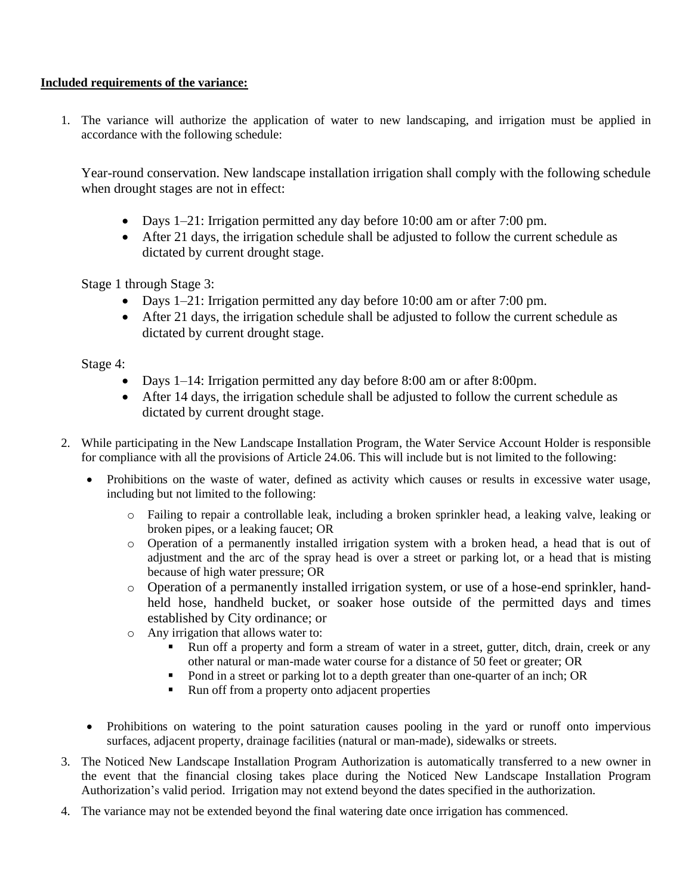#### **Included requirements of the variance:**

1. The variance will authorize the application of water to new landscaping, and irrigation must be applied in accordance with the following schedule:

Year-round conservation. New landscape installation irrigation shall comply with the following schedule when drought stages are not in effect:

- Days 1–21: Irrigation permitted any day before 10:00 am or after 7:00 pm.
- After 21 days, the irrigation schedule shall be adjusted to follow the current schedule as dictated by current drought stage.

Stage 1 through Stage 3:

- Days 1–21: Irrigation permitted any day before 10:00 am or after 7:00 pm.
- After 21 days, the irrigation schedule shall be adjusted to follow the current schedule as dictated by current drought stage.

Stage 4:

- Days 1–14: Irrigation permitted any day before 8:00 am or after 8:00 pm.
- After 14 days, the irrigation schedule shall be adjusted to follow the current schedule as dictated by current drought stage.
- 2. While participating in the New Landscape Installation Program, the Water Service Account Holder is responsible for compliance with all the provisions of Article 24.06. This will include but is not limited to the following:
	- Prohibitions on the waste of water, defined as activity which causes or results in excessive water usage, including but not limited to the following:
		- o Failing to repair a controllable leak, including a broken sprinkler head, a leaking valve, leaking or broken pipes, or a leaking faucet; OR
		- o Operation of a permanently installed irrigation system with a broken head, a head that is out of adjustment and the arc of the spray head is over a street or parking lot, or a head that is misting because of high water pressure; OR
		- o Operation of a permanently installed irrigation system, or use of a hose-end sprinkler, handheld hose, handheld bucket, or soaker hose outside of the permitted days and times established by City ordinance; or
		- o Any irrigation that allows water to:
			- Run off a property and form a stream of water in a street, gutter, ditch, drain, creek or any other natural or man-made water course for a distance of 50 feet or greater; OR
			- Pond in a street or parking lot to a depth greater than one-quarter of an inch; OR
			- Run off from a property onto adjacent properties
	- Prohibitions on watering to the point saturation causes pooling in the yard or runoff onto impervious surfaces, adjacent property, drainage facilities (natural or man-made), sidewalks or streets.
- 3. The Noticed New Landscape Installation Program Authorization is automatically transferred to a new owner in the event that the financial closing takes place during the Noticed New Landscape Installation Program Authorization's valid period. Irrigation may not extend beyond the dates specified in the authorization.
- 4. The variance may not be extended beyond the final watering date once irrigation has commenced.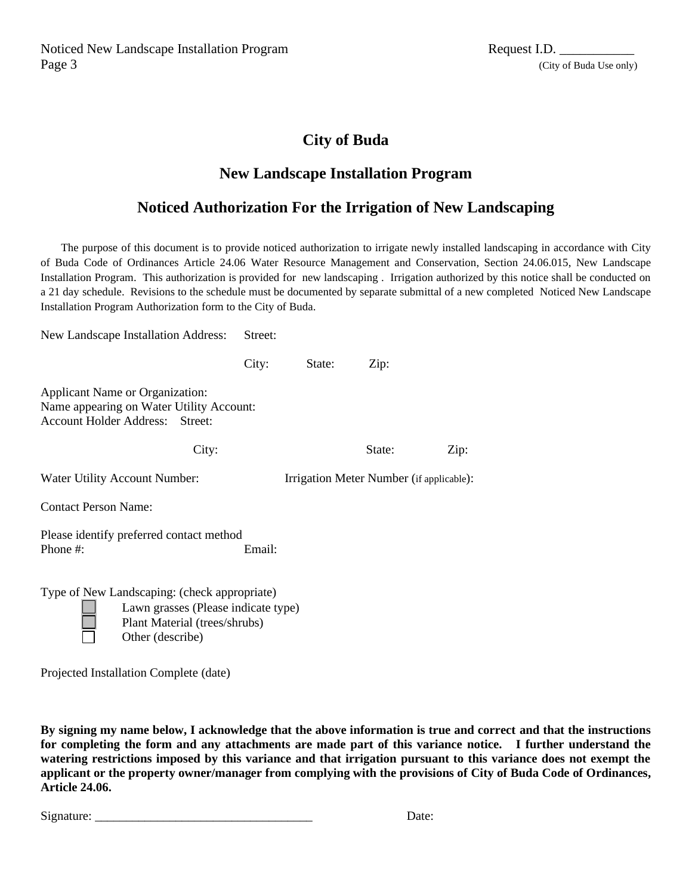Noticed New Landscape Installation Program Request I.D. Page 3 (City of Buda Use only)

#### **City of Buda**

#### **New Landscape Installation Program**

### **Noticed Authorization For the Irrigation of New Landscaping**

The purpose of this document is to provide noticed authorization to irrigate newly installed landscaping in accordance with City of Buda Code of Ordinances Article 24.06 Water Resource Management and Conservation, Section 24.06.015, New Landscape Installation Program. This authorization is provided for new landscaping . Irrigation authorized by this notice shall be conducted on a 21 day schedule. Revisions to the schedule must be documented by separate submittal of a new completed Noticed New Landscape Installation Program Authorization form to the City of Buda.

New Landscape Installation Address: Street:

|                                                                                                                                          | City:  | State:                                   | Zip:   |      |
|------------------------------------------------------------------------------------------------------------------------------------------|--------|------------------------------------------|--------|------|
| Applicant Name or Organization:<br>Name appearing on Water Utility Account:<br>Account Holder Address: Street:                           |        |                                          |        |      |
| City:                                                                                                                                    |        |                                          | State: | Zip: |
| Water Utility Account Number:                                                                                                            |        | Irrigation Meter Number (if applicable): |        |      |
| <b>Contact Person Name:</b>                                                                                                              |        |                                          |        |      |
| Please identify preferred contact method<br>Phone $#$ :                                                                                  | Email: |                                          |        |      |
| Type of New Landscaping: (check appropriate)<br>Lawn grasses (Please indicate type)<br>Plant Material (trees/shrubs)<br>Other (describe) |        |                                          |        |      |

Projected Installation Complete (date)

**By signing my name below, I acknowledge that the above information is true and correct and that the instructions for completing the form and any attachments are made part of this variance notice. I further understand the watering restrictions imposed by this variance and that irrigation pursuant to this variance does not exempt the applicant or the property owner/manager from complying with the provisions of City of Buda Code of Ordinances, Article 24.06.**

Signature:  $\Box$